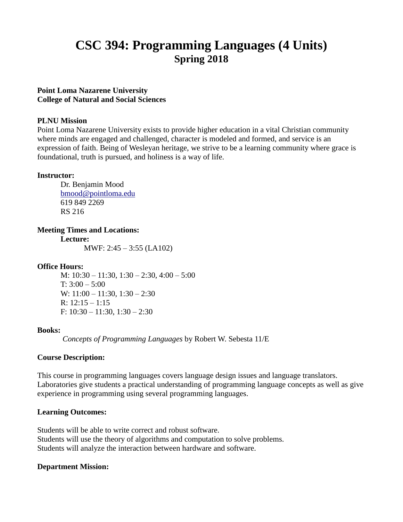# **CSC 394: Programming Languages (4 Units) Spring 2018**

# **Point Loma Nazarene University College of Natural and Social Sciences**

#### **PLNU Mission**

Point Loma Nazarene University exists to provide higher education in a vital Christian community where minds are engaged and challenged, character is modeled and formed, and service is an expression of faith. Being of Wesleyan heritage, we strive to be a learning community where grace is foundational, truth is pursued, and holiness is a way of life.

# **Instructor:**

Dr. Benjamin Mood [bmood@pointloma.edu](mailto:bmood@pointloma.edu) 619 849 2269 RS 216

**Meeting Times and Locations:**

**Lecture:**

MWF: 2:45 – 3:55 (LA102)

# **Office Hours:**

M: 10:30 – 11:30, 1:30 – 2:30, 4:00 – 5:00 T:  $3:00 - 5:00$ W: 11:00 – 11:30, 1:30 – 2:30 R:  $12:15 - 1:15$ F: 10:30 – 11:30, 1:30 – 2:30

#### **Books:**

*Concepts of Programming Languages* by Robert W. Sebesta 11/E

#### **Course Description:**

This course in programming languages covers language design issues and language translators. Laboratories give students a practical understanding of programming language concepts as well as give experience in programming using several programming languages.

# **Learning Outcomes:**

Students will be able to write correct and robust software. Students will use the theory of algorithms and computation to solve problems. Students will analyze the interaction between hardware and software.

#### **Department Mission:**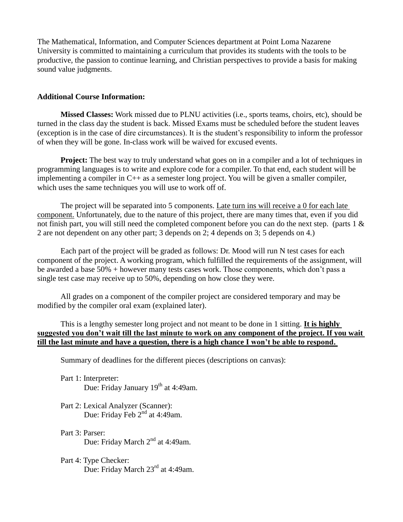The Mathematical, Information, and Computer Sciences department at Point Loma Nazarene University is committed to maintaining a curriculum that provides its students with the tools to be productive, the passion to continue learning, and Christian perspectives to provide a basis for making sound value judgments.

#### **Additional Course Information:**

**Missed Classes:** Work missed due to PLNU activities (i.e., sports teams, choirs, etc), should be turned in the class day the student is back. Missed Exams must be scheduled before the student leaves (exception is in the case of dire circumstances). It is the student's responsibility to inform the professor of when they will be gone. In-class work will be waived for excused events.

**Project:** The best way to truly understand what goes on in a compiler and a lot of techniques in programming languages is to write and explore code for a compiler. To that end, each student will be implementing a compiler in C++ as a semester long project. You will be given a smaller compiler, which uses the same techniques you will use to work off of.

The project will be separated into 5 components. Late turn ins will receive a 0 for each late component. Unfortunately, due to the nature of this project, there are many times that, even if you did not finish part, you will still need the completed component before you can do the next step. (parts 1 & 2 are not dependent on any other part; 3 depends on 2; 4 depends on 3; 5 depends on 4.)

Each part of the project will be graded as follows: Dr. Mood will run N test cases for each component of the project. A working program, which fulfilled the requirements of the assignment, will be awarded a base 50% + however many tests cases work. Those components, which don't pass a single test case may receive up to 50%, depending on how close they were.

All grades on a component of the compiler project are considered temporary and may be modified by the compiler oral exam (explained later).

This is a lengthy semester long project and not meant to be done in 1 sitting. **It is highly suggested you don't wait till the last minute to work on any component of the project. If you wait till the last minute and have a question, there is a high chance I won't be able to respond.**

Summary of deadlines for the different pieces (descriptions on canvas):

- Part 1: Interpreter: Due: Friday January 19<sup>th</sup> at 4:49am.
- Part 2: Lexical Analyzer (Scanner): Due: Friday Feb  $2^{nd}$  at 4:49am.
- Part 3: Parser: Due: Friday March 2<sup>nd</sup> at 4:49am.
- Part 4: Type Checker: Due: Friday March 23<sup>rd</sup> at 4:49am.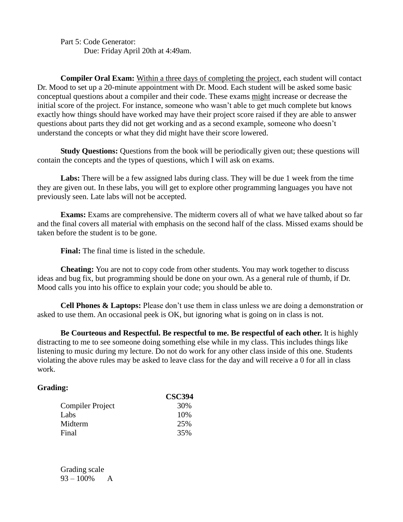Part 5: Code Generator: Due: Friday April 20th at 4:49am.

**Compiler Oral Exam:** Within a three days of completing the project, each student will contact Dr. Mood to set up a 20-minute appointment with Dr. Mood. Each student will be asked some basic conceptual questions about a compiler and their code. These exams might increase or decrease the initial score of the project. For instance, someone who wasn't able to get much complete but knows exactly how things should have worked may have their project score raised if they are able to answer questions about parts they did not get working and as a second example, someone who doesn't understand the concepts or what they did might have their score lowered.

**Study Questions:** Questions from the book will be periodically given out; these questions will contain the concepts and the types of questions, which I will ask on exams.

**Labs:** There will be a few assigned labs during class. They will be due 1 week from the time they are given out. In these labs, you will get to explore other programming languages you have not previously seen. Late labs will not be accepted.

**Exams:** Exams are comprehensive. The midterm covers all of what we have talked about so far and the final covers all material with emphasis on the second half of the class. Missed exams should be taken before the student is to be gone.

**Final:** The final time is listed in the schedule.

**Cheating:** You are not to copy code from other students. You may work together to discuss ideas and bug fix, but programming should be done on your own. As a general rule of thumb, if Dr. Mood calls you into his office to explain your code; you should be able to.

**Cell Phones & Laptops:** Please don't use them in class unless we are doing a demonstration or asked to use them. An occasional peek is OK, but ignoring what is going on in class is not.

**Be Courteous and Respectful. Be respectful to me. Be respectful of each other.** It is highly distracting to me to see someone doing something else while in my class. This includes things like listening to music during my lecture. Do not do work for any other class inside of this one. Students violating the above rules may be asked to leave class for the day and will receive a 0 for all in class work.

#### **Grading:**

|                  | <b>CSC394</b> |
|------------------|---------------|
| Compiler Project | 30%           |
| Labs             | 10%           |
| Midterm          | 25%           |
| Final            | 35%           |

Grading scale 93 – 100% A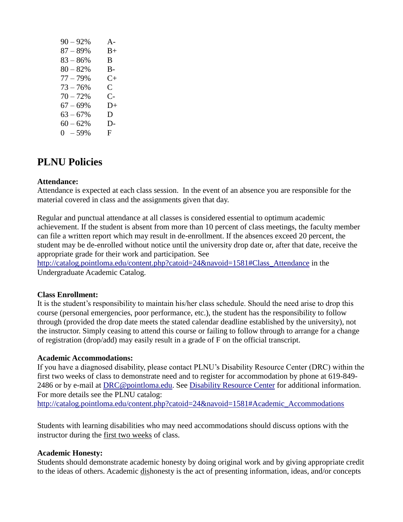| $90 - 92%$  | $A -$          |
|-------------|----------------|
| $87 - 89%$  | $B+$           |
| $83 - 86%$  | B              |
| $80 - 82%$  | В-             |
| $77 - 79%$  | $C_{\pm}$      |
| $73 - 76%$  | $\mathsf{C}^-$ |
| $70 - 72%$  | $C-$           |
| $67 - 69%$  | 1              |
| $63 - 67\%$ | D              |
| $60 - 62%$  | D-             |
| $0 - 59\%$  | F              |

# **PLNU Policies**

# **Attendance:**

Attendance is expected at each class session. In the event of an absence you are responsible for the material covered in class and the assignments given that day.

Regular and punctual attendance at all classes is considered essential to optimum academic achievement. If the student is absent from more than 10 percent of class meetings, the faculty member can file a written report which may result in de-enrollment. If the absences exceed 20 percent, the student may be de-enrolled without notice until the university drop date or, after that date, receive the appropriate grade for their work and participation. See

[http://catalog.pointloma.edu/content.php?catoid=24&navoid=1581#Class\\_Attendance](http://catalog.pointloma.edu/content.php?catoid=24&navoid=1581#Class_Attendance) in the Undergraduate Academic Catalog.

#### **Class Enrollment:**

It is the student's responsibility to maintain his/her class schedule. Should the need arise to drop this course (personal emergencies, poor performance, etc.), the student has the responsibility to follow through (provided the drop date meets the stated calendar deadline established by the university), not the instructor. Simply ceasing to attend this course or failing to follow through to arrange for a change of registration (drop/add) may easily result in a grade of F on the official transcript.

#### **Academic Accommodations:**

If you have a diagnosed disability, please contact PLNU's Disability Resource Center (DRC) within the first two weeks of class to demonstrate need and to register for accommodation by phone at 619-849- 2486 or by e-mail at [DRC@pointloma.edu.](mailto:DRC@pointloma.edu) See [Disability Resource Center](http://www.pointloma.edu/experience/offices/administrative-offices/academic-advising-office/disability-resource-center) for additional information. For more details see the PLNU catalog: [http://catalog.pointloma.edu/content.php?catoid=24&navoid=1581#Academic\\_Accommodations](http://catalog.pointloma.edu/content.php?catoid=24&navoid=1581#Academic_Accommodations) 

Students with learning disabilities who may need accommodations should discuss options with the instructor during the first two weeks of class.

#### **Academic Honesty:**

Students should demonstrate academic honesty by doing original work and by giving appropriate credit to the ideas of others. Academic dishonesty is the act of presenting information, ideas, and/or concepts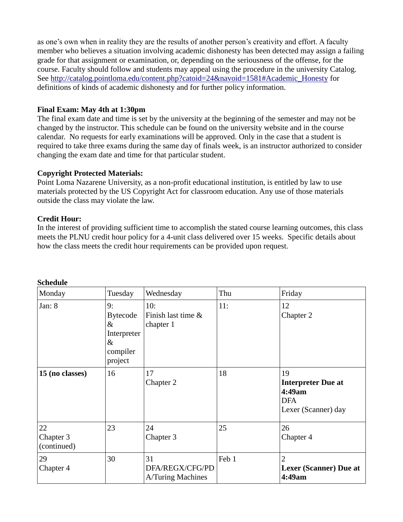as one's own when in reality they are the results of another person's creativity and effort. A faculty member who believes a situation involving academic dishonesty has been detected may assign a failing grade for that assignment or examination, or, depending on the seriousness of the offense, for the course. Faculty should follow and students may appeal using the procedure in the university Catalog. See [http://catalog.pointloma.edu/content.php?catoid=24&navoid=1581#Academic\\_Honesty](http://catalog.pointloma.edu/content.php?catoid=24&navoid=1581#Academic_Honesty) for definitions of kinds of academic dishonesty and for further policy information.

# **Final Exam: May 4th at 1:30pm**

The final exam date and time is set by the university at the beginning of the semester and may not be changed by the instructor. This schedule can be found on the university website and in the course calendar. No requests for early examinations will be approved. Only in the case that a student is required to take three exams during the same day of finals week, is an instructor authorized to consider changing the exam date and time for that particular student.

# **Copyright Protected Materials:**

Point Loma Nazarene University, as a non-profit educational institution, is entitled by law to use materials protected by the US Copyright Act for classroom education. Any use of those materials outside the class may violate the law.

# **Credit Hour:**

In the interest of providing sufficient time to accomplish the stated course learning outcomes, this class meets the PLNU credit hour policy for a 4-unit class delivered over 15 weeks. Specific details about how the class meets the credit hour requirements can be provided upon request.

| Monday                         | Tuesday                                                                     | Wednesday                                         | Thu   | Friday                                                                         |
|--------------------------------|-----------------------------------------------------------------------------|---------------------------------------------------|-------|--------------------------------------------------------------------------------|
| Jan: $8$                       | 9:<br><b>Bytecode</b><br>$\&$<br>Interpreter<br>$\&$<br>compiler<br>project | 10:<br>Finish last time &<br>chapter 1            | 11:   | 12<br>Chapter 2                                                                |
| 15 (no classes)                | 16                                                                          | 17<br>Chapter 2                                   | 18    | 19<br><b>Interpreter Due at</b><br>4:49am<br><b>DFA</b><br>Lexer (Scanner) day |
| 22<br>Chapter 3<br>(continued) | 23                                                                          | 24<br>Chapter 3                                   | 25    | 26<br>Chapter 4                                                                |
| 29<br>Chapter 4                | 30                                                                          | 31<br>DFA/REGX/CFG/PD<br><b>A/Turing Machines</b> | Feb 1 | $\overline{2}$<br><b>Lexer (Scanner)</b> Due at<br>4:49am                      |

#### **Schedule**